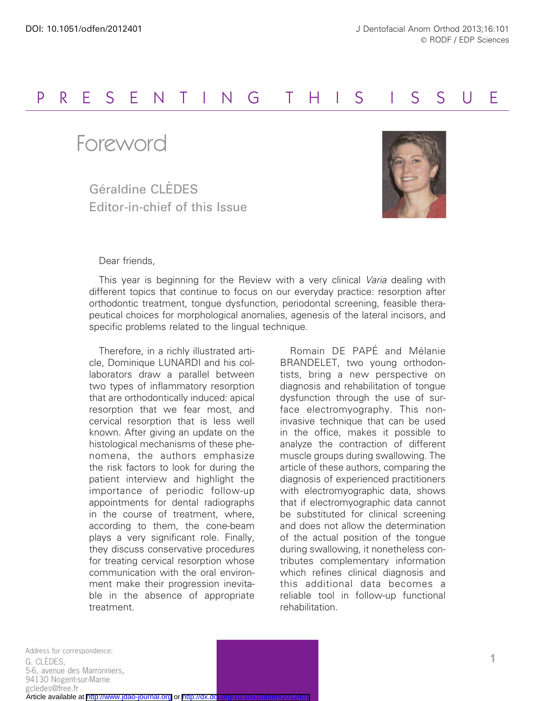## PRESENTING THIS I S SU E

Foreword

Géraldine CLÈDES Editor-in-chief of this Issue



## Dear friends,

This year is beginning for the Review with a very clinical Varia dealing with different topics that continue to focus on our everyday practice: resorption after orthodontic treatment, tongue dysfunction, periodontal screening, feasible therapeutical choices for morphological anomalies, agenesis of the lateral incisors, and specific problems related to the lingual technique.

Therefore, in a richly illustrated article, Dominique LUNARDI and his collaborators draw a parallel between two types of inflammatory resorption that are orthodontically induced: apical resorption that we fear most, and cervical resorption that is less well known. After giving an update on the histological mechanisms of these phenomena, the authors emphasize the risk factors to look for during the patient interview and highlight the importance of periodic follow-up appointments for dental radiographs in the course of treatment, where, according to them, the cone-beam plays a very significant role. Finally, they discuss conservative procedures for treating cervical resorption whose communication with the oral environment make their progression inevitable in the absence of appropriate treatment.

Romain DE PAPÉ and Mélanie BRANDELET, two young orthodontists, bring a new perspective on diagnosis and rehabilitation of tongue dysfunction through the use of surface electromyography. This noninvasive technique that can be used in the office, makes it possible to analyze the contraction of different muscle groups during swallowing. The article of these authors, comparing the diagnosis of experienced practitioners with electromyographic data, shows that if electromyographic data cannot be substituted for clinical screening and does not allow the determination of the actual position of the tongue during swallowing, it nonetheless contributes complementary information which refines clinical diagnosis and this additional data becomes a reliable tool in follow-up functional rehabilitation.

1 Address for correspondence: G. CLÈDES. 5-6, avenue des Marronniers, 94130 Nogent-sur-Marne gcledes@free.fr Article available at <http://www.jdao-journal.org> or http://dx.do